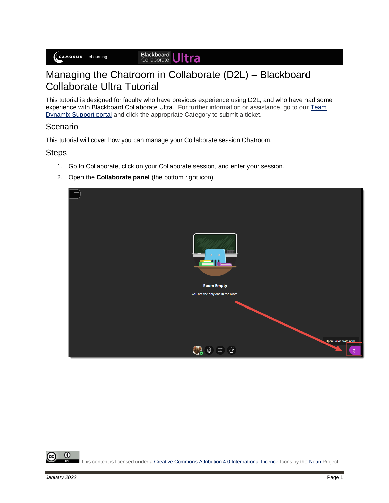## Managing the Chatroom in Collaborate (D2L) – Blackboard Collaborate Ultra Tutorial

This tutorial is designed for faculty who have previous experience using D2L, and who have had some experience with Blackboard Collaborate Ultra. For further information or assistance, go to our Team [Dynamix Support portal](https://camosun.teamdynamix.com/TDClient/67/Portal/Requests/ServiceCatalog?CategoryID=523) and click the appropriate Category to submit a ticket.

## Scenario

This tutorial will cover how you can manage your Collaborate session Chatroom.

## **Steps**

- 1. Go to Collaborate, click on your Collaborate session, and enter your session.
- 2. Open the **Collaborate panel** (the bottom right icon).

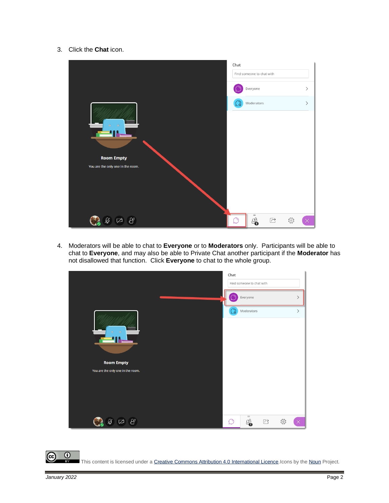3. Click the **Chat** icon.



4. Moderators will be able to chat to **Everyone** or to **Moderators** only. Participants will be able to chat to **Everyone**, and may also be able to Private Chat another participant if the **Moderator** has not disallowed that function. Click **Everyone** to chat to the whole group.



 $^\circledR$ This content is licensed under [a Creative Commons Attribution 4.0 International Licence.I](https://creativecommons.org/licenses/by/4.0/)cons by th[e Noun](https://creativecommons.org/website-icons/) Project.

'cc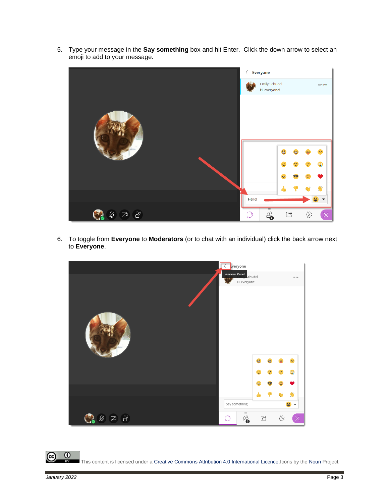5. Type your message in the **Say something** box and hit Enter. Click the down arrow to select an emoji to add to your message.



6. To toggle from **Everyone** to **Moderators** (or to chat with an individual) click the back arrow next to **Everyone**.



 $\overline{6}$ (cc This content is licensed under [a Creative Commons Attribution 4.0 International Licence.I](https://creativecommons.org/licenses/by/4.0/)cons by th[e Noun](https://creativecommons.org/website-icons/) Project.